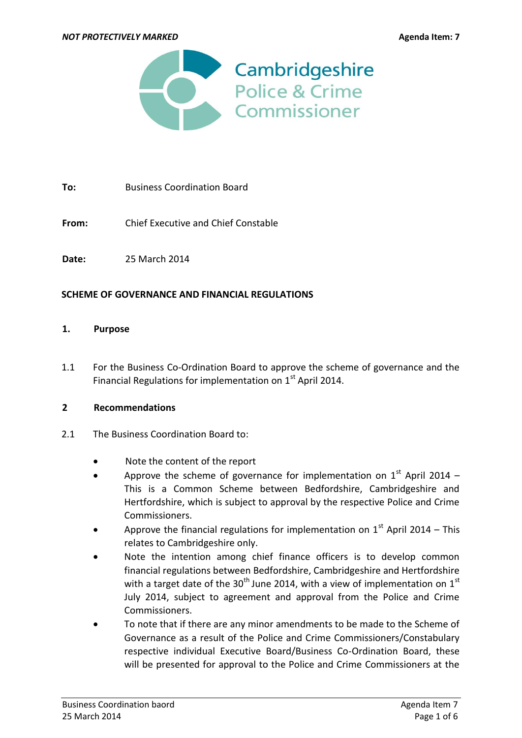

**To:** Business Coordination Board

**From:** Chief Executive and Chief Constable

**Date:** 25 March 2014

### **SCHEME OF GOVERNANCE AND FINANCIAL REGULATIONS**

#### **1. Purpose**

1.1 For the Business Co-Ordination Board to approve the scheme of governance and the Financial Regulations for implementation on  $1<sup>st</sup>$  April 2014.

### **2 Recommendations**

- 2.1 The Business Coordination Board to:
	- Note the content of the report
	- Approve the scheme of governance for implementation on  $1<sup>st</sup>$  April 2014 This is a Common Scheme between Bedfordshire, Cambridgeshire and Hertfordshire, which is subject to approval by the respective Police and Crime Commissioners.
	- Approve the financial regulations for implementation on  $1<sup>st</sup>$  April 2014 This relates to Cambridgeshire only.
	- Note the intention among chief finance officers is to develop common financial regulations between Bedfordshire, Cambridgeshire and Hertfordshire with a target date of the 30<sup>th</sup> June 2014, with a view of implementation on 1<sup>st</sup> July 2014, subject to agreement and approval from the Police and Crime Commissioners.
	- To note that if there are any minor amendments to be made to the Scheme of Governance as a result of the Police and Crime Commissioners/Constabulary respective individual Executive Board/Business Co-Ordination Board, these will be presented for approval to the Police and Crime Commissioners at the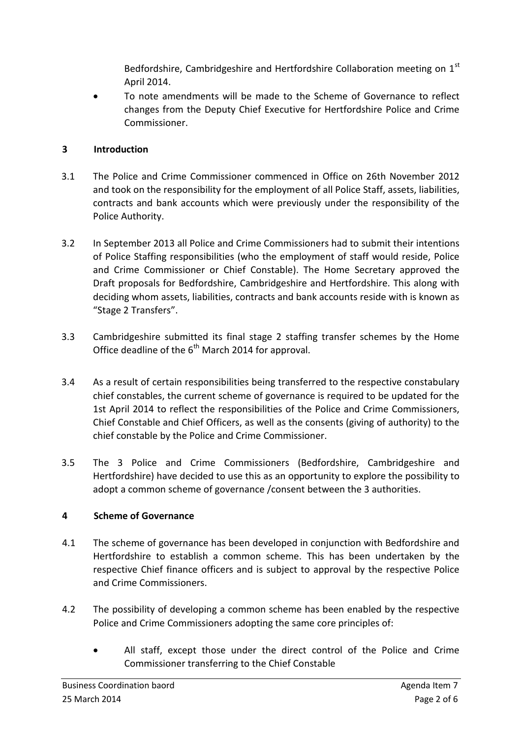Bedfordshire, Cambridgeshire and Hertfordshire Collaboration meeting on 1st April 2014.

 To note amendments will be made to the Scheme of Governance to reflect changes from the Deputy Chief Executive for Hertfordshire Police and Crime Commissioner.

## **3 Introduction**

- 3.1 The Police and Crime Commissioner commenced in Office on 26th November 2012 and took on the responsibility for the employment of all Police Staff, assets, liabilities, contracts and bank accounts which were previously under the responsibility of the Police Authority.
- 3.2 In September 2013 all Police and Crime Commissioners had to submit their intentions of Police Staffing responsibilities (who the employment of staff would reside, Police and Crime Commissioner or Chief Constable). The Home Secretary approved the Draft proposals for Bedfordshire, Cambridgeshire and Hertfordshire. This along with deciding whom assets, liabilities, contracts and bank accounts reside with is known as "Stage 2 Transfers".
- 3.3 Cambridgeshire submitted its final stage 2 staffing transfer schemes by the Home Office deadline of the 6<sup>th</sup> March 2014 for approval.
- 3.4 As a result of certain responsibilities being transferred to the respective constabulary chief constables, the current scheme of governance is required to be updated for the 1st April 2014 to reflect the responsibilities of the Police and Crime Commissioners, Chief Constable and Chief Officers, as well as the consents (giving of authority) to the chief constable by the Police and Crime Commissioner.
- 3.5 The 3 Police and Crime Commissioners (Bedfordshire, Cambridgeshire and Hertfordshire) have decided to use this as an opportunity to explore the possibility to adopt a common scheme of governance /consent between the 3 authorities.

# **4 Scheme of Governance**

- 4.1 The scheme of governance has been developed in conjunction with Bedfordshire and Hertfordshire to establish a common scheme. This has been undertaken by the respective Chief finance officers and is subject to approval by the respective Police and Crime Commissioners.
- 4.2 The possibility of developing a common scheme has been enabled by the respective Police and Crime Commissioners adopting the same core principles of:
	- All staff, except those under the direct control of the Police and Crime Commissioner transferring to the Chief Constable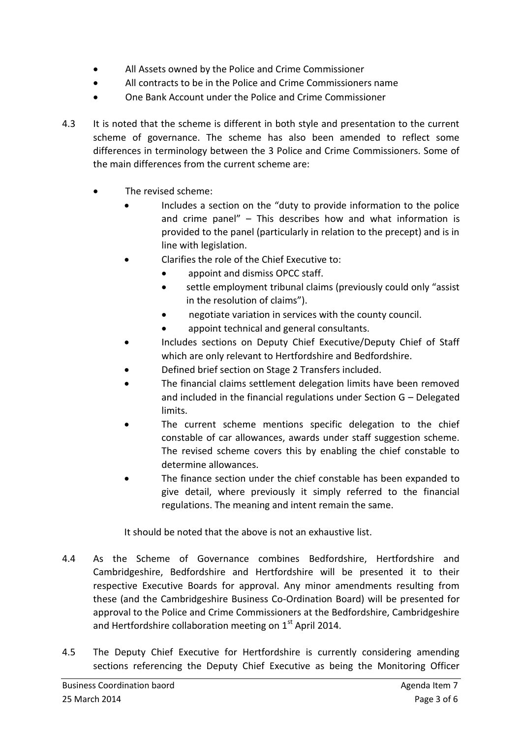- All Assets owned by the Police and Crime Commissioner
- All contracts to be in the Police and Crime Commissioners name
- One Bank Account under the Police and Crime Commissioner
- 4.3 It is noted that the scheme is different in both style and presentation to the current scheme of governance. The scheme has also been amended to reflect some differences in terminology between the 3 Police and Crime Commissioners. Some of the main differences from the current scheme are:
	- The revised scheme:
		- Includes a section on the "duty to provide information to the police and crime panel" – This describes how and what information is provided to the panel (particularly in relation to the precept) and is in line with legislation.
			- Clarifies the role of the Chief Executive to:
				- appoint and dismiss OPCC staff.
				- settle employment tribunal claims (previously could only "assist in the resolution of claims").
				- negotiate variation in services with the county council.
				- appoint technical and general consultants.
		- Includes sections on Deputy Chief Executive/Deputy Chief of Staff which are only relevant to Hertfordshire and Bedfordshire.
		- Defined brief section on Stage 2 Transfers included.
		- The financial claims settlement delegation limits have been removed and included in the financial regulations under Section G – Delegated limits.
		- The current scheme mentions specific delegation to the chief constable of car allowances, awards under staff suggestion scheme. The revised scheme covers this by enabling the chief constable to determine allowances.
		- The finance section under the chief constable has been expanded to give detail, where previously it simply referred to the financial regulations. The meaning and intent remain the same.

It should be noted that the above is not an exhaustive list.

- 4.4 As the Scheme of Governance combines Bedfordshire, Hertfordshire and Cambridgeshire, Bedfordshire and Hertfordshire will be presented it to their respective Executive Boards for approval. Any minor amendments resulting from these (and the Cambridgeshire Business Co-Ordination Board) will be presented for approval to the Police and Crime Commissioners at the Bedfordshire, Cambridgeshire and Hertfordshire collaboration meeting on  $1<sup>st</sup>$  April 2014.
- 4.5 The Deputy Chief Executive for Hertfordshire is currently considering amending sections referencing the Deputy Chief Executive as being the Monitoring Officer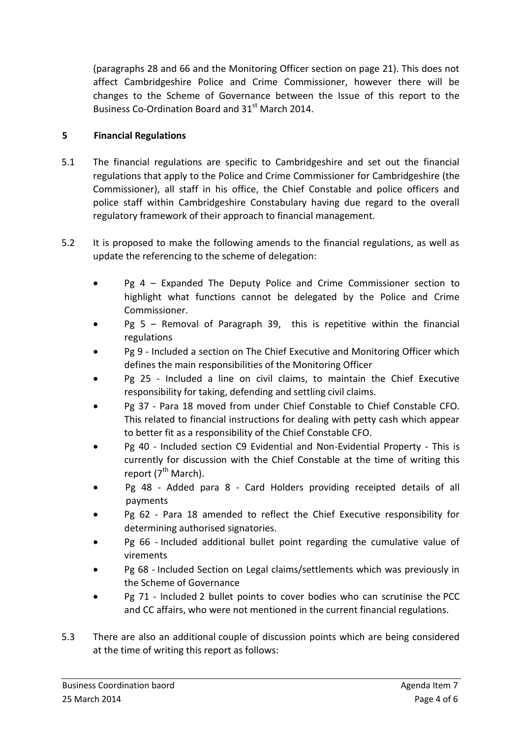(paragraphs 28 and 66 and the Monitoring Officer section on page 21). This does not affect Cambridgeshire Police and Crime Commissioner, however there will be changes to the Scheme of Governance between the Issue of this report to the Business Co-Ordination Board and 31<sup>st</sup> March 2014.

## **5 Financial Regulations**

- 5.1 The financial regulations are specific to Cambridgeshire and set out the financial regulations that apply to the Police and Crime Commissioner for Cambridgeshire (the Commissioner), all staff in his office, the Chief Constable and police officers and police staff within Cambridgeshire Constabulary having due regard to the overall regulatory framework of their approach to financial management.
- 5.2 It is proposed to make the following amends to the financial regulations, as well as update the referencing to the scheme of delegation:
	- Pg 4 Expanded The Deputy Police and Crime Commissioner section to highlight what functions cannot be delegated by the Police and Crime Commissioner.
	- Pg 5 Removal of Paragraph 39, this is repetitive within the financial regulations
	- Pg 9 Included a section on The Chief Executive and Monitoring Officer which defines the main responsibilities of the Monitoring Officer
	- Pg 25 Included a line on civil claims, to maintain the Chief Executive responsibility for taking, defending and settling civil claims.
	- Pg 37 Para 18 moved from under Chief Constable to Chief Constable CFO. This related to financial instructions for dealing with petty cash which appear to better fit as a responsibility of the Chief Constable CFO.
	- Pg 40 Included section C9 Evidential and Non-Evidential Property This is currently for discussion with the Chief Constable at the time of writing this report  $7<sup>th</sup>$  March).
	- Pg 48 Added para 8 Card Holders providing receipted details of all payments
	- Pg 62 Para 18 amended to reflect the Chief Executive responsibility for determining authorised signatories.
	- Pg 66 Included additional bullet point regarding the cumulative value of virements
	- Pg 68 Included Section on Legal claims/settlements which was previously in the Scheme of Governance
	- Pg 71 Included 2 bullet points to cover bodies who can scrutinise the PCC and CC affairs, who were not mentioned in the current financial regulations.
- 5.3 There are also an additional couple of discussion points which are being considered at the time of writing this report as follows: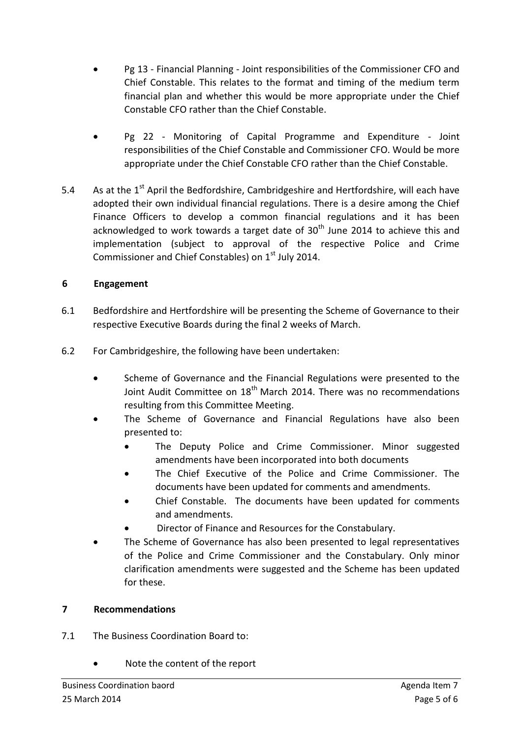- Pg 13 Financial Planning Joint responsibilities of the Commissioner CFO and Chief Constable. This relates to the format and timing of the medium term financial plan and whether this would be more appropriate under the Chief Constable CFO rather than the Chief Constable.
- Pg 22 Monitoring of Capital Programme and Expenditure Joint responsibilities of the Chief Constable and Commissioner CFO. Would be more appropriate under the Chief Constable CFO rather than the Chief Constable.
- 5.4 As at the 1<sup>st</sup> April the Bedfordshire, Cambridgeshire and Hertfordshire, will each have adopted their own individual financial regulations. There is a desire among the Chief Finance Officers to develop a common financial regulations and it has been acknowledged to work towards a target date of  $30<sup>th</sup>$  June 2014 to achieve this and implementation (subject to approval of the respective Police and Crime Commissioner and Chief Constables) on  $1<sup>st</sup>$  July 2014.

## **6 Engagement**

- 6.1 Bedfordshire and Hertfordshire will be presenting the Scheme of Governance to their respective Executive Boards during the final 2 weeks of March.
- 6.2 For Cambridgeshire, the following have been undertaken:
	- Scheme of Governance and the Financial Regulations were presented to the Joint Audit Committee on 18<sup>th</sup> March 2014. There was no recommendations resulting from this Committee Meeting.
	- The Scheme of Governance and Financial Regulations have also been presented to:
		- The Deputy Police and Crime Commissioner. Minor suggested amendments have been incorporated into both documents
		- The Chief Executive of the Police and Crime Commissioner. The documents have been updated for comments and amendments.
		- Chief Constable. The documents have been updated for comments and amendments.
		- Director of Finance and Resources for the Constabulary.
	- The Scheme of Governance has also been presented to legal representatives of the Police and Crime Commissioner and the Constabulary. Only minor clarification amendments were suggested and the Scheme has been updated for these.

## **7 Recommendations**

- 7.1 The Business Coordination Board to:
	- Note the content of the report